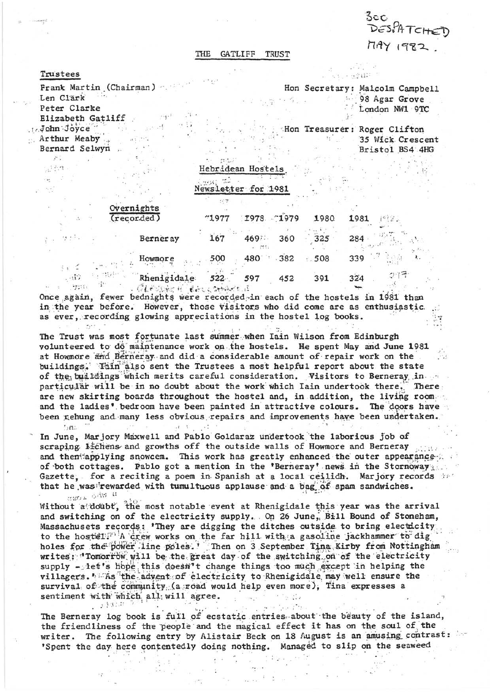$3c$ C 17AY 1982.

## GATLIFF TRUST **THE**

## Trustees

John Joyce

 $\mathcal{L}$ 공원적

 $\mu$ 

Arthur Meaby

ು ಚ

 $\frac{1}{2}$  ,  $\frac{1}{2}$ 

 $\mathcal{L}$ 

 $\langle \tau_{\rm{234}} \rangle$  . To

 $5.5^\circ$ 

 $\sim 0.102\,M_\odot$ 

Bernard Selwyn

Frank Martin (Chairman) Len Clark Peter Clarke  $\mathbb{F}_3\mathbb{F}^1$ Elizabeth Gatliff

 $\sim$   $\sim$ 

Hon Secretary: Malcolm Campbell 98 Agar Grove  $\Delta$  and  $\theta$ 7 F London NW1 9TC

ក ក្សប្តិ (108 - 1

Hon Treasurer: Roger Clifton 35 Wick Crescent Bristol BS4 4HG

Hebridean Hostels  $\cdot$  .

Newsletter for 1981

| Overnights   |  |
|--------------|--|
| (recor, ded) |  |

| (recorded) |                 | 71977   |      | 1978 1979 | 1980 | 1981 |
|------------|-----------------|---------|------|-----------|------|------|
|            | <b>Berneray</b> | 167     | 4693 | 360       | 325  | 284  |
|            | Howmore         | 500     | 480  | 382       | 508  | 339  |
| 15.5       | Rhenigidale     | $522 -$ | 597  | 452       | 391  | 324  |

. CLAVINCH (BALKOHAKELI)

Once again, fewer bednights were recorded in each of the hostels in 1981 than in the year before. However, those visitors who did come are as enthusiastic. as ever, recording glowing appreciations in the hostel log books.

The Trust was most fortunate last summer when Iain Wilson from Edinburgh volunteered to do maintenance work on the hostels. He spent May and June 1981 at Howmore and Berneray and did a considerable amount of repair work on the buildings. Thin also sent the Trustees a most helpful report about the state of the buildings which merits careful consideration. Visitors to Berneray in particular will be in no doubt about the work which Iain undertook there. There are new skirting boards throughout the hostel and, in addition, the living room and the ladies' bedroom have been painted in attractive colours. The doors have been rehung and many less obvious repairs and improvements have been undertaken.  $D<sub>1</sub>$ 

In June, Marjory Maxwell and Pablo Goldaraz undertook the laborious job of scraping lichens and growths off the outside walls of Howmore and Berneray and then applying snowcem. This work has greatly enhanced the outer appearance of both cottages. Pablo got a mention in the 'Berneray' news in the Stornoway. Gazette, for a reciting a poem in Spanish at a local ceilidh. Marjory records that he was rewarded with tumultuous applause and a bag of spam sandwiches. STROL ON H

Without a doubt, the most notable event at Rhenigidale this year was the arrival and switching on of the electricity supply. On 26 June, Bill Bound of Stoneham, Massachusets records: 'They are digging the ditches outside to bring electicity to the hostel. A crew works on the far hill with a gasoline jackhammer to dig holes for the power line poles.' Then on 3 September Tina Kirby from Nottingham writes; 'Tomorrow will be the great day of the switching on of the electricity supply - let's hope this doesn't change things too much except in helping the villagers. "As the advent of electricity to Rhenigidale may well ensure the survival of the community (a road would help even more), Tina expresses a sentiment with which all will agree.  $\sim$   $\sim$   $_{\star}$   $\sim$   $\sim$  $\frac{1}{2}$  . The set 있.

The Berneray log book is full of ecstatic entries about the beauty of the island, the friendliness of the people and the magical effect it has on the soul of the writer. The following entry by Alistair Beck on 18 August is an amusing contrast: 'Spent the day here contentedly doing nothing. Managed to slip on the seaweed

 $\alpha$  and  $\alpha$  and  $\alpha$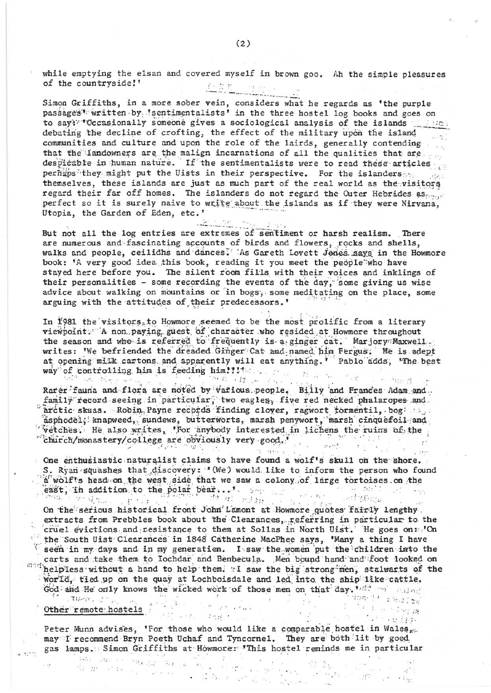while emptying the elsan and covered myself in brown goo. Ah the simple pleasures of the countryside!'  $\label{eq:1} \underbrace{P\in\mathbb{R}}\left[\underbrace{P_1}_{\text{invariant}}\right]_{\text{inert}}$ 

. . . . . . . . . . . <u>.</u>

Simon Griffiths, in a more sober vein, considers what he regards as 'the purple passages' written by 'sentimentalists' in the three hostel log books and goes on to say?" Occasionally someone gives a sociological analysis of the islands debating the decline of crofting, the effect of the military upon the island communities and culture and upon the role of the lairds, generally contending that the landowners are the malign incarnations of all the qualities that are despicable in human nature. If the sentimentalists were to read these articles perhaps they might put the Uists in their perspective. For the islanders and their themselves, these islands are just as much part of the real world as the visitors regard their far off homes. The islanders do not regard the Outer Hebrides as perfect so it is surely naive to write about the islands as if they were Nirvana, Utopia, the Garden of Eden, etc.'

 $\frac{2}{\sqrt{2}}$ But not all the log entries are extremes of sentiment or harsh realism. There are numerous and fascinating accounts of birds and flowers, rocks and shells, walks and people, ceilidhs and dances. As Gareth Lovett Jenes says in the Howmore book: 'A very good idea this book, reading it you meet the people who have stayed here before you. The silent room fills with their voices and inklings of their personalities - some recording the events of the day, some giving us wise<br>advice about walking on mountains or in bogs, some meditating on the place, some arguing with the attitudes of their predecessors.'

In 1981 the visitors to Howmore seemed to be the most prolific from a literary viewpoint. A non paying guest of character who resided at Howmore throughout the season and who is referred to frequently is a ginger cat. Marjory Maxwell. writes: 'We befriended the dreaded Ginger Cat and named him Fergus. He is adept at opening milk cartons and apparently will eat anything. ' Pablo adds, 'The best 

Rarer fauna and flora are noted by various people. Billy and Frances Adam and family record seeing in particular, two eagles, five red necked phalaropes and arctic skuas. Robin Payne records finding clover, ragwort tormentil, bog and asphodel; knapweed, sundews, butterworts, marsh penywort, marsh cinquefoil and "vetches. He also writes, 'For anybody interested in lichens the ruins of the "church/monastery/college are obviously very good."

One enthusiastic naturalist claims to have found a wolf's skull on the shore. S. Ryan squashes that discovery: '(We) would like to inform the person who found a wolf's head on the west side that we saw a colony of large tortoises on the east, in addition to the polar bear...  $t = \frac{t + 1}{2}$ 

On the serious historical front John Lamont at Howmore quotes fairly lengthy. extracts from Prebbles book about the Clearances, referring in particular to the cruel evictions and resistance to them at Sollas in North Uist. He goes on: 'On the South Uist Clearances in 1848 Catherine MacPhee says, 'Many a thing I have seen in my days and in my generation. I saw the women put the children into the carts and take them to Iochdar and Benbecula. Men bound hand and foot looked on mad helpless without a hand to help them. I saw the big strong men, stalwarts of the world, tied up on the quay at Lochboisdale and led into the ship like cattle. God and He only knows the wicked work of those men on that day. "I was a said

 $\label{eq:12} \begin{array}{cccccccccc} \mathbf{u} & \cdots & \mathbf{u} & \mathbf{f} & \cdots & \mathbf{g}^{\mathrm{H}} & \cdots & \mathbf{g}^{\mathrm{H}} \end{array}$ 

.<br>TOG-Tr : Y-J.120

 $\omega_{0}^{(1)}$  ,  $\omega_{0}^{(1)}$  ,  $\omega_{0}^{(1)}$ 

**F. E. H. Free an**  $\alpha$  , we have

14.<sup>2</sup>

## $\mathcal{F} = \text{Tr}(\mathcal{F}_{\mathcal{F}})$  ,  $\mathcal{F}_{\mathcal{F}}$  ,  $\mathcal{F}_{\mathcal{F}}$  ,  $\mathcal{F}_{\mathcal{F}}$ Other remote hostels and the state of the state of the state of the state of the state of the state of the state of the state of the state of the state of the state of the state of the state of the state of the state of th

 $4.1114$ 

Peter Munn advises, 'For those who would like a comparable hostel in Wales, may I recommend Bryn Poeth Uchaf and Tyncornel. They are both lit by good. gas lamps. Simon Griffiths at Howmore: 'This hostel reminds me in particular  $\text{mps}$  . Simon principal and  $\pi$  ,  $\pi$  ,  $\pi$  ,  $\pi$  ,  $\pi$  ,  $\pi$  ,  $\pi$  ,  $\pi$  ,  $\pi$  ,  $\pi$  ,  $\pi$  ,  $\pi$  ,  $\pi$  ,  $\pi$  ,  $\pi$  ,  $\pi$  ,  $\pi$  ,  $\pi$  ,  $\pi$  ,  $\pi$  ,  $\pi$  ,  $\pi$  ,  $\pi$  ,  $\pi$  ,  $\pi$  ,  $\pi$  ,  $\pi$  ,

a formal de la componentación